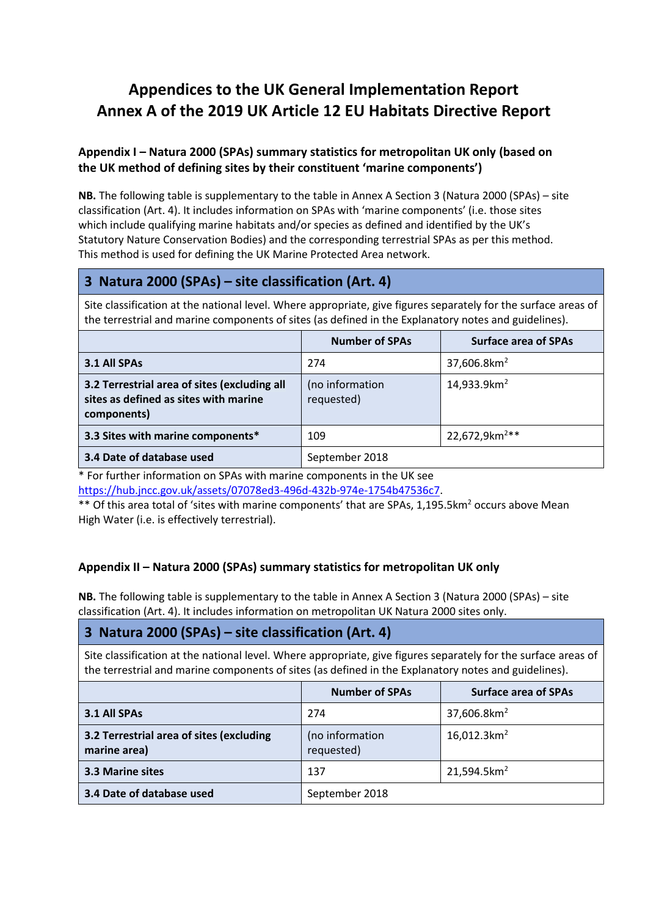# **Appendices to the UK General Implementation Report Annex A of the 2019 UK Article 12 EU Habitats Directive Report**

#### **Appendix I – Natura 2000 (SPAs) summary statistics for metropolitan UK only (based on the UK method of defining sites by their constituent 'marine components')**

**NB.** The following table is supplementary to the table in Annex A Section 3 (Natura 2000 (SPAs) – site classification (Art. 4). It includes information on SPAs with 'marine components' (i.e. those sites which include qualifying marine habitats and/or species as defined and identified by the UK's Statutory Nature Conservation Bodies) and the corresponding terrestrial SPAs as per this method. This method is used for defining the UK Marine Protected Area network.

# **3 Natura 2000 (SPAs) – site classification (Art. 4)**

Site classification at the national level. Where appropriate, give figures separately for the surface areas of the terrestrial and marine components of sites (as defined in the Explanatory notes and guidelines).

|                                                                                                      | <b>Number of SPAs</b>         | <b>Surface area of SPAs</b> |
|------------------------------------------------------------------------------------------------------|-------------------------------|-----------------------------|
| 3.1 All SPAs                                                                                         | 274                           | 37,606.8 $km2$              |
| 3.2 Terrestrial area of sites (excluding all<br>sites as defined as sites with marine<br>components) | (no information<br>requested) | 14,933.9km <sup>2</sup>     |
| 3.3 Sites with marine components*                                                                    | 109                           | 22,672,9km <sup>2**</sup>   |
| 3.4 Date of database used                                                                            | September 2018                |                             |

\* For further information on SPAs with marine components in the UK see [https://hub.jncc.gov.uk/assets/07078ed3-496d-432b-974e-1754b47536c7.](https://hub.jncc.gov.uk/assets/07078ed3-496d-432b-974e-1754b47536c7)

\*\* Of this area total of 'sites with marine components' that are SPAs, 1,195.5km<sup>2</sup> occurs above Mean High Water (i.e. is effectively terrestrial).

### **Appendix II – Natura 2000 (SPAs) summary statistics for metropolitan UK only**

**NB.** The following table is supplementary to the table in Annex A Section 3 (Natura 2000 (SPAs) – site classification (Art. 4). It includes information on metropolitan UK Natura 2000 sites only.

### **3 Natura 2000 (SPAs) – site classification (Art. 4)**

Site classification at the national level. Where appropriate, give figures separately for the surface areas of the terrestrial and marine components of sites (as defined in the Explanatory notes and guidelines).

|                                                          | <b>Number of SPAs</b>         | <b>Surface area of SPAs</b> |
|----------------------------------------------------------|-------------------------------|-----------------------------|
| 3.1 All SPAs                                             | 274                           | 37,606.8 $km2$              |
| 3.2 Terrestrial area of sites (excluding<br>marine area) | (no information<br>requested) | $16,012.3km^2$              |
| <b>3.3 Marine sites</b>                                  | 137                           | 21,594.5km <sup>2</sup>     |
| 3.4 Date of database used                                | September 2018                |                             |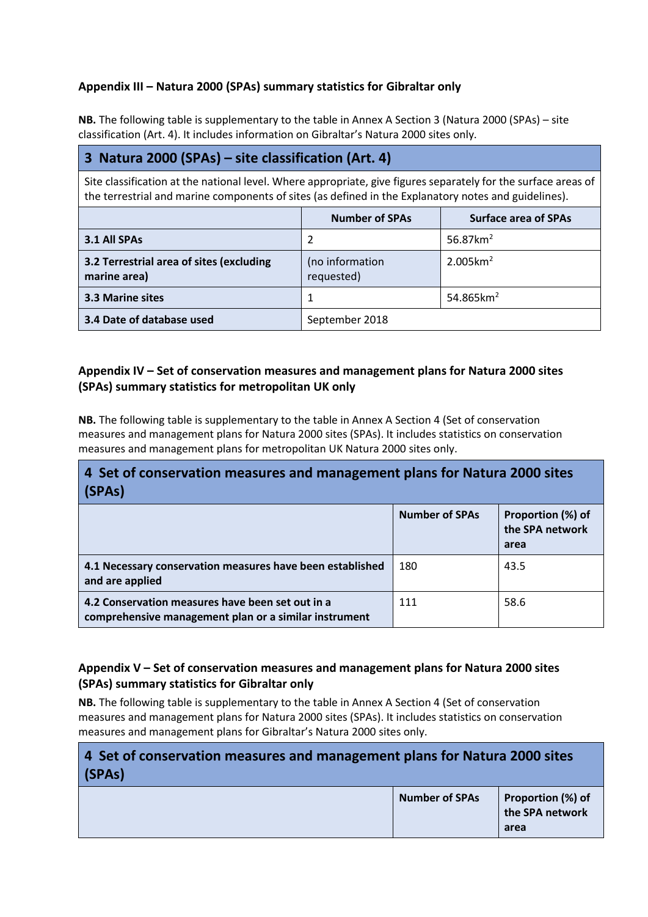### **Appendix III – Natura 2000 (SPAs) summary statistics for Gibraltar only**

**NB.** The following table is supplementary to the table in Annex A Section 3 (Natura 2000 (SPAs) – site classification (Art. 4). It includes information on Gibraltar's Natura 2000 sites only.

## **3 Natura 2000 (SPAs) – site classification (Art. 4)**

Site classification at the national level. Where appropriate, give figures separately for the surface areas of the terrestrial and marine components of sites (as defined in the Explanatory notes and guidelines).

|                                                          | <b>Number of SPAs</b>         | <b>Surface area of SPAs</b> |
|----------------------------------------------------------|-------------------------------|-----------------------------|
| 3.1 All SPAs                                             |                               | 56.87 $km2$                 |
| 3.2 Terrestrial area of sites (excluding<br>marine area) | (no information<br>requested) | $2.005 \text{km}^2$         |
| <b>3.3 Marine sites</b>                                  |                               | 54.865 $km^2$               |
| 3.4 Date of database used                                | September 2018                |                             |

#### **Appendix IV – Set of conservation measures and management plans for Natura 2000 sites (SPAs) summary statistics for metropolitan UK only**

**NB.** The following table is supplementary to the table in Annex A Section 4 (Set of conservation measures and management plans for Natura 2000 sites (SPAs). It includes statistics on conservation measures and management plans for metropolitan UK Natura 2000 sites only.

# **4 Set of conservation measures and management plans for Natura 2000 sites (SPAs)**

|                                                                                                           | <b>Number of SPAs</b> | Proportion (%) of<br>the SPA network<br>area |
|-----------------------------------------------------------------------------------------------------------|-----------------------|----------------------------------------------|
| 4.1 Necessary conservation measures have been established<br>and are applied                              | 180                   | 43.5                                         |
| 4.2 Conservation measures have been set out in a<br>comprehensive management plan or a similar instrument | 111                   | 58.6                                         |

#### **Appendix V – Set of conservation measures and management plans for Natura 2000 sites (SPAs) summary statistics for Gibraltar only**

**NB.** The following table is supplementary to the table in Annex A Section 4 (Set of conservation measures and management plans for Natura 2000 sites (SPAs). It includes statistics on conservation measures and management plans for Gibraltar's Natura 2000 sites only.

# **4 Set of conservation measures and management plans for Natura 2000 sites (SPAs)**

|  | <b>Number of SPAs</b> | Proportion (%) of<br>the SPA network<br>area |
|--|-----------------------|----------------------------------------------|
|--|-----------------------|----------------------------------------------|